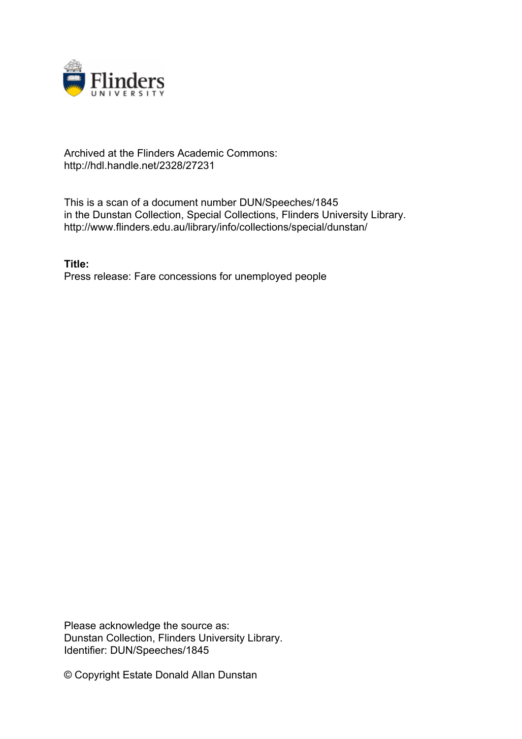

## Archived at the Flinders Academic Commons: http://hdl.handle.net/2328/27231

This is a scan of a document number DUN/Speeches/1845 in the Dunstan Collection, Special Collections, Flinders University Library. http://www.flinders.edu.au/library/info/collections/special/dunstan/

**Title:** Press release: Fare concessions for unemployed people

Please acknowledge the source as: Dunstan Collection, Flinders University Library. Identifier: DUN/Speeches/1845

© Copyright Estate Donald Allan Dunstan